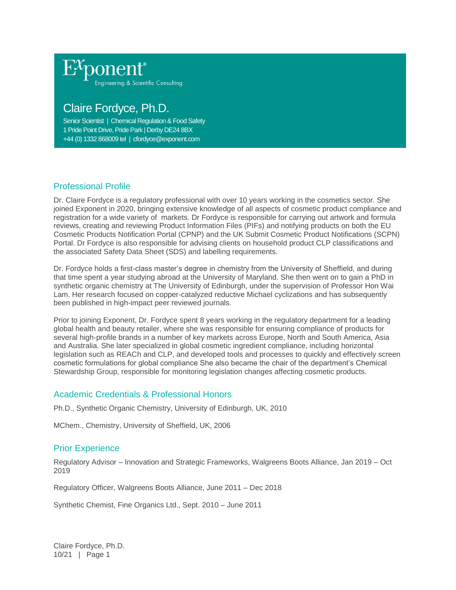

# Claire Fordyce, Ph.D.

Senior Scientist | Chemical Regulation & Food Safety 1 Pride Point Drive, Pride Park | Derby DE24 8BX +44 (0) 1332 868009 tel | cfordyce@exponent.com

## Professional Profile

Dr. Claire Fordyce is a regulatory professional with over 10 years working in the cosmetics sector. She joined Exponent in 2020, bringing extensive knowledge of all aspects of cosmetic product compliance and registration for a wide variety of markets. Dr Fordyce is responsible for carrying out artwork and formula reviews, creating and reviewing Product Information Files (PIFs) and notifying products on both the EU Cosmetic Products Notification Portal (CPNP) and the UK Submit Cosmetic Product Notifications (SCPN) Portal. Dr Fordyce is also responsible for advising clients on household product CLP classifications and the associated Safety Data Sheet (SDS) and labelling requirements.

Dr. Fordyce holds a first-class master's degree in chemistry from the University of Sheffield, and during that time spent a year studying abroad at the University of Maryland. She then went on to gain a PhD in synthetic organic chemistry at The University of Edinburgh, under the supervision of Professor Hon Wai Lam. Her research focused on copper-catalyzed reductive Michael cyclizations and has subsequently been published in high-impact peer reviewed journals.

Prior to joining Exponent, Dr. Fordyce spent 8 years working in the regulatory department for a leading global health and beauty retailer, where she was responsible for ensuring compliance of products for several high-profile brands in a number of key markets across Europe, North and South America, Asia and Australia. She later specialized in global cosmetic ingredient compliance, including horizontal legislation such as REACh and CLP, and developed tools and processes to quickly and effectively screen cosmetic formulations for global compliance She also became the chair of the department's Chemical Stewardship Group, responsible for monitoring legislation changes affecting cosmetic products.

#### Academic Credentials & Professional Honors

Ph.D., Synthetic Organic Chemistry, University of Edinburgh, UK, 2010

MChem., Chemistry, University of Sheffield, UK, 2006

### Prior Experience

Regulatory Advisor – Innovation and Strategic Frameworks, Walgreens Boots Alliance, Jan 2019 – Oct 2019

Regulatory Officer, Walgreens Boots Alliance, June 2011 – Dec 2018

Synthetic Chemist, Fine Organics Ltd., Sept. 2010 – June 2011

Claire Fordyce, Ph.D. 10/21 | Page 1